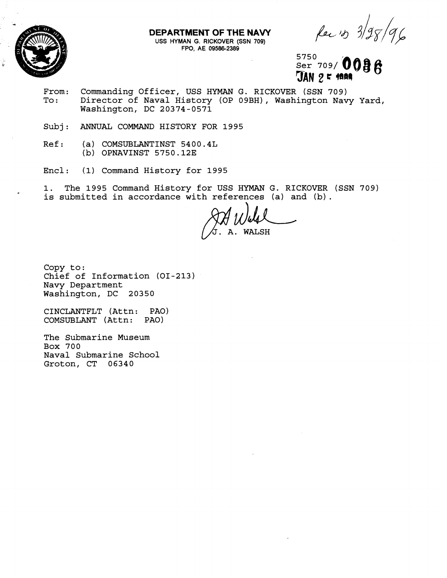

## **DEPARTMENT OF THE NAVY**

**USS** HYMAN G. RICKOVER (SSN 709) FPO, AE 09586-2389

Rec 13 3/98/96

5750 Ser 709/0036  $JAN25$  man

- From: Commanding Officer, USS HYMAN G. RICKOVER (SSN 709)<br>To: Director of Naval History (OP 09BH), Washington Nav Director of Naval History (OP 09BH), Washington Navy Yard, Washington, DC 20374-0571
- Subj : **ANNUAL** COMMAND HISTORY FOR 1995
- $Ref:$  (a) COMSUBLANTINST 5400.4L (b) OPNAVINST 5750.12E
- Encl: (1) Command History for 1995

1. The 1995 Command History for USS HYMAN G. RICKOVER (SSN 709) is submitted in accordance with references (a) and (b) .

**WALSH** 

Copy to: Chief of Information (01-213) Navy Department Washington, DC 20350

CINCLANTFLT (Attn: PAO) COMSUBLANT (Attn:

The Submarine Museum Box 700 Naval Submarine School Groton, CT 06340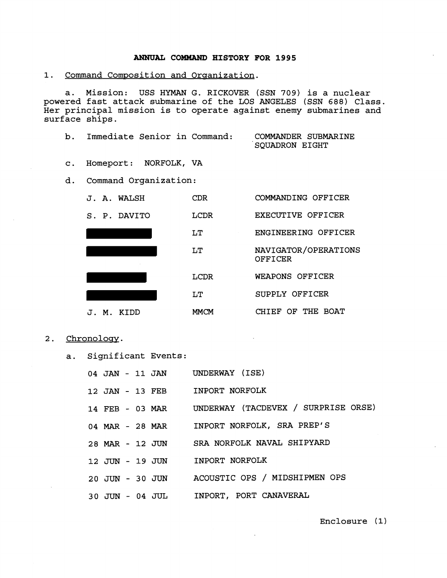## **ANNUAL COBWAND HISTORY FOR 1995**

1. Command Composition and Organization.

a. Mission: USS HYMAN G. RICKOVER (SSN **709)** is a nuclear powered fast attack submarine of the LOS ANGELES (SSN **688)** Class. Her principal mission is to operate against enemy submarines and surface ships.

| Immediate Senior in Command: |  | COMMANDER SUBMARINE |  |  |
|------------------------------|--|---------------------|--|--|
|                              |  | SQUADRON EIGHT      |  |  |

- c. Homeport: NORFOLK, VA
- d. Command Organization:



- 2. Chronology.
	- a. Significant Events:

|                 |  |                 | 04 JAN - 11 JAN UNDERWAY (ISE)             |
|-----------------|--|-----------------|--------------------------------------------|
|                 |  |                 | 12 JAN - 13 FEB INPORT NORFOLK             |
|                 |  | 14 FEB - 03 MAR | UNDERWAY (TACDEVEX / SURPRISE ORSE)        |
|                 |  |                 | 04 MAR - 28 MAR INPORT NORFOLK, SRA PREP'S |
|                 |  |                 | 28 MAR - 12 JUN SRA NORFOLK NAVAL SHIPYARD |
|                 |  |                 | 12 JUN - 19 JUN INPORT NORFOLK             |
|                 |  | 20 JUN - 30 JUN | ACOUSTIC OPS / MIDSHIPMEN OPS              |
| 30 JUN - 04 JUL |  |                 | INPORT, PORT CANAVERAL                     |

Enclosure **(1)**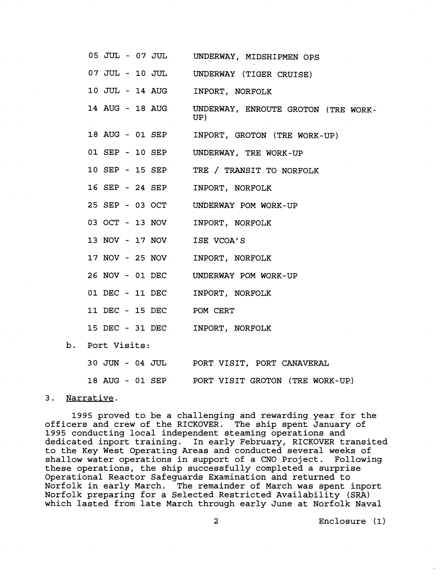|                 | 05 JUL - 07 JUL UNDERWAY, MIDSHIPMEN OPS   |
|-----------------|--------------------------------------------|
| 07 JUL - 10 JUL | UNDERWAY (TIGER CRUISE)                    |
| 10 JUL - 14 AUG | INPORT, NORFOLK                            |
| 14 AUG - 18 AUG | UNDERWAY, ENROUTE GROTON (TRE WORK-<br>UP) |
| 18 AUG - 01 SEP | INPORT, GROTON (TRE WORK-UP)               |
| 01 SEP - 10 SEP | UNDERWAY, TRE WORK-UP                      |
| 10 SEP - 15 SEP | TRE / TRANSIT TO NORFOLK                   |
| 16 SEP - 24 SEP | INPORT, NORFOLK                            |
| 25 SEP - 03 OCT | UNDERWAY POM WORK-UP                       |
| 03 OCT - 13 NOV | INPORT, NORFOLK                            |
| 13 NOV - 17 NOV | ISE VCOA'S                                 |
| 17 NOV - 25 NOV | INPORT, NORFOLK                            |
| 26 NOV - 01 DEC | UNDERWAY POM WORK-UP                       |
| 01 DEC - 11 DEC | INPORT, NORFOLK                            |
| 11 DEC - 15 DEC | POM CERT                                   |
| 15 DEC - 31 DEC | INPORT, NORFOLK                            |
| b. Port Visits: |                                            |
|                 |                                            |

| 30 JUN - 04 JUL |  |  | PORT VISIT, PORT CANAVERAL      |
|-----------------|--|--|---------------------------------|
| 18 AUG - 01 SEP |  |  | PORT VISIT GROTON (TRE WORK-UP) |

## **3.** Narrative.

proved to be a challenging and rewarding year for the officers and crew of the RICKOVER. The ship spent January of conducting local independent steaming operations and dedicated inport training. In early February, RICKOVER transited to the Key West Operating Areas and conducted several weeks of shallow water operations in support of a CNO Project. Following these operations, the ship successfully completed a surprise Operational Reactor Safeguards Examination and returned to Norfolk in early March. The remainder of March was spent inport Norfolk preparing for a Selected Restricted Availability (SRA) which lasted from late March through early June at Norfolk Naval

Enclosure **(1)**